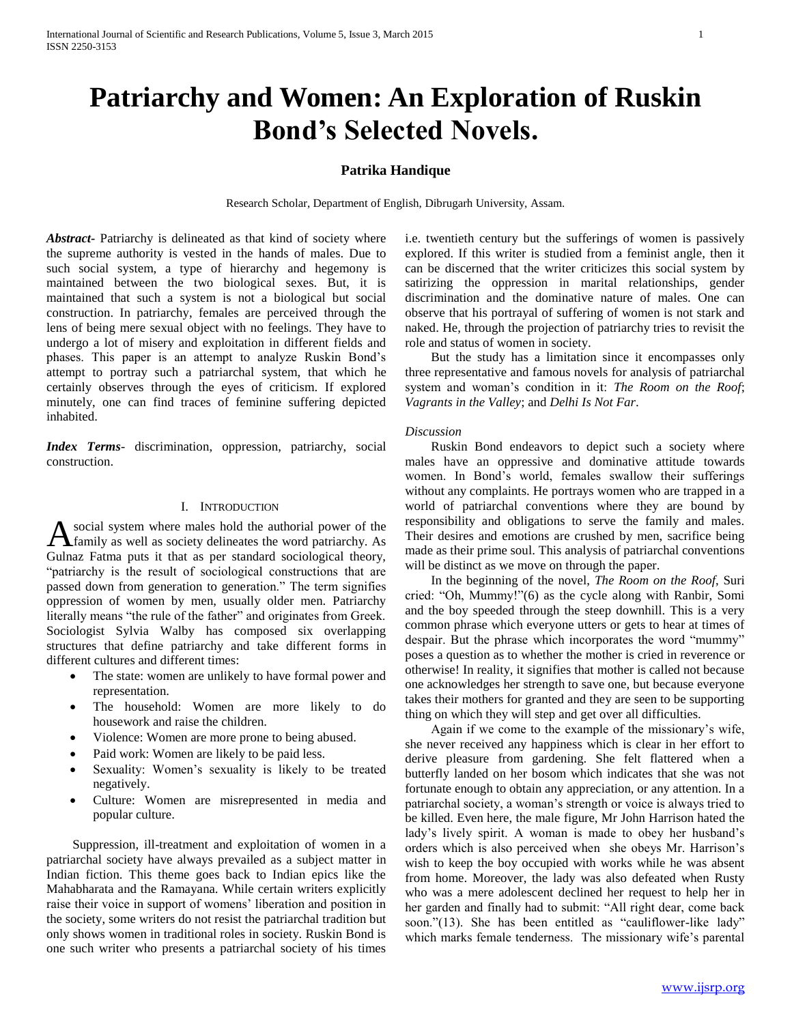# **Patriarchy and Women: An Exploration of Ruskin Bond's Selected Novels.**

## **Patrika Handique**

Research Scholar, Department of English, Dibrugarh University, Assam.

*Abstract***-** Patriarchy is delineated as that kind of society where the supreme authority is vested in the hands of males. Due to such social system, a type of hierarchy and hegemony is maintained between the two biological sexes. But, it is maintained that such a system is not a biological but social construction. In patriarchy, females are perceived through the lens of being mere sexual object with no feelings. They have to undergo a lot of misery and exploitation in different fields and phases. This paper is an attempt to analyze Ruskin Bond's attempt to portray such a patriarchal system, that which he certainly observes through the eyes of criticism. If explored minutely, one can find traces of feminine suffering depicted inhabited.

*Index Terms*- discrimination, oppression, patriarchy, social construction.

## I. INTRODUCTION

social system where males hold the authorial power of the A social system where males hold the authorial power of the family as well as society delineates the word patriarchy. As Gulnaz Fatma puts it that as per standard sociological theory, "patriarchy is the result of sociological constructions that are passed down from generation to generation." The term signifies oppression of women by men, usually older men. Patriarchy literally means "the rule of the father" and originates from Greek. Sociologist Sylvia Walby has composed six overlapping structures that define patriarchy and take different forms in different cultures and different times:

- The state: women are unlikely to have formal power and representation.
- The household: Women are more likely to do housework and raise the children.
- Violence: Women are more prone to being abused.
- Paid work: Women are likely to be paid less.
- Sexuality: Women's sexuality is likely to be treated negatively.
- Culture: Women are misrepresented in media and popular culture.

 Suppression, ill-treatment and exploitation of women in a patriarchal society have always prevailed as a subject matter in Indian fiction. This theme goes back to Indian epics like the Mahabharata and the Ramayana. While certain writers explicitly raise their voice in support of womens' liberation and position in the society, some writers do not resist the patriarchal tradition but only shows women in traditional roles in society. Ruskin Bond is one such writer who presents a patriarchal society of his times

i.e. twentieth century but the sufferings of women is passively explored. If this writer is studied from a feminist angle, then it can be discerned that the writer criticizes this social system by satirizing the oppression in marital relationships, gender discrimination and the dominative nature of males. One can observe that his portrayal of suffering of women is not stark and naked. He, through the projection of patriarchy tries to revisit the role and status of women in society.

 But the study has a limitation since it encompasses only three representative and famous novels for analysis of patriarchal system and woman's condition in it: *The Room on the Roof*; *Vagrants in the Valley*; and *Delhi Is Not Far*.

#### *Discussion*

 Ruskin Bond endeavors to depict such a society where males have an oppressive and dominative attitude towards women. In Bond's world, females swallow their sufferings without any complaints. He portrays women who are trapped in a world of patriarchal conventions where they are bound by responsibility and obligations to serve the family and males. Their desires and emotions are crushed by men, sacrifice being made as their prime soul. This analysis of patriarchal conventions will be distinct as we move on through the paper.

 In the beginning of the novel, *The Room on the Roof*, Suri cried: "Oh, Mummy!"(6) as the cycle along with Ranbir, Somi and the boy speeded through the steep downhill. This is a very common phrase which everyone utters or gets to hear at times of despair. But the phrase which incorporates the word "mummy" poses a question as to whether the mother is cried in reverence or otherwise! In reality, it signifies that mother is called not because one acknowledges her strength to save one, but because everyone takes their mothers for granted and they are seen to be supporting thing on which they will step and get over all difficulties.

 Again if we come to the example of the missionary's wife, she never received any happiness which is clear in her effort to derive pleasure from gardening. She felt flattered when a butterfly landed on her bosom which indicates that she was not fortunate enough to obtain any appreciation, or any attention. In a patriarchal society, a woman's strength or voice is always tried to be killed. Even here, the male figure, Mr John Harrison hated the lady's lively spirit. A woman is made to obey her husband's orders which is also perceived when she obeys Mr. Harrison's wish to keep the boy occupied with works while he was absent from home. Moreover, the lady was also defeated when Rusty who was a mere adolescent declined her request to help her in her garden and finally had to submit: "All right dear, come back soon."(13). She has been entitled as "cauliflower-like lady" which marks female tenderness. The missionary wife's parental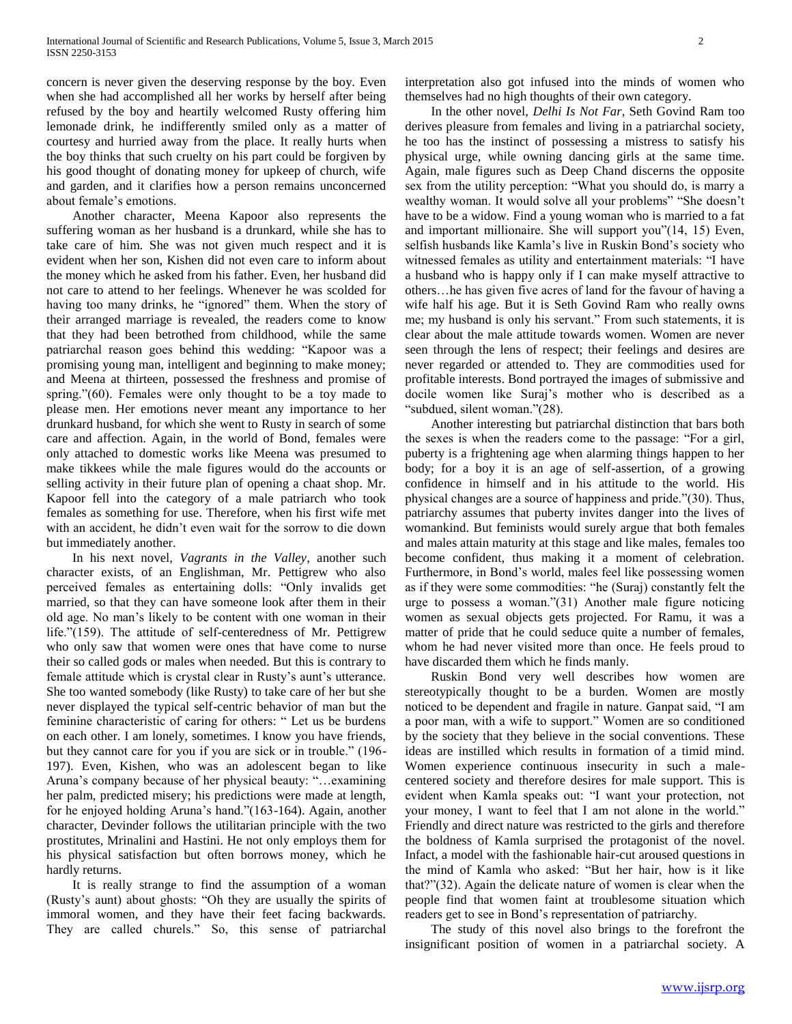concern is never given the deserving response by the boy. Even when she had accomplished all her works by herself after being refused by the boy and heartily welcomed Rusty offering him lemonade drink, he indifferently smiled only as a matter of courtesy and hurried away from the place. It really hurts when the boy thinks that such cruelty on his part could be forgiven by his good thought of donating money for upkeep of church, wife and garden, and it clarifies how a person remains unconcerned about female's emotions.

 Another character, Meena Kapoor also represents the suffering woman as her husband is a drunkard, while she has to take care of him. She was not given much respect and it is evident when her son, Kishen did not even care to inform about the money which he asked from his father. Even, her husband did not care to attend to her feelings. Whenever he was scolded for having too many drinks, he "ignored" them. When the story of their arranged marriage is revealed, the readers come to know that they had been betrothed from childhood, while the same patriarchal reason goes behind this wedding: "Kapoor was a promising young man, intelligent and beginning to make money; and Meena at thirteen, possessed the freshness and promise of spring."(60). Females were only thought to be a toy made to please men. Her emotions never meant any importance to her drunkard husband, for which she went to Rusty in search of some care and affection. Again, in the world of Bond, females were only attached to domestic works like Meena was presumed to make tikkees while the male figures would do the accounts or selling activity in their future plan of opening a chaat shop. Mr. Kapoor fell into the category of a male patriarch who took females as something for use. Therefore, when his first wife met with an accident, he didn't even wait for the sorrow to die down but immediately another.

 In his next novel, *Vagrants in the Valley*, another such character exists, of an Englishman, Mr. Pettigrew who also perceived females as entertaining dolls: "Only invalids get married, so that they can have someone look after them in their old age. No man's likely to be content with one woman in their life."(159). The attitude of self-centeredness of Mr. Pettigrew who only saw that women were ones that have come to nurse their so called gods or males when needed. But this is contrary to female attitude which is crystal clear in Rusty's aunt's utterance. She too wanted somebody (like Rusty) to take care of her but she never displayed the typical self-centric behavior of man but the feminine characteristic of caring for others: " Let us be burdens on each other. I am lonely, sometimes. I know you have friends, but they cannot care for you if you are sick or in trouble." (196- 197). Even, Kishen, who was an adolescent began to like Aruna's company because of her physical beauty: "…examining her palm, predicted misery; his predictions were made at length, for he enjoyed holding Aruna's hand."(163-164). Again, another character, Devinder follows the utilitarian principle with the two prostitutes, Mrinalini and Hastini. He not only employs them for his physical satisfaction but often borrows money, which he hardly returns.

 It is really strange to find the assumption of a woman (Rusty's aunt) about ghosts: "Oh they are usually the spirits of immoral women, and they have their feet facing backwards. They are called churels." So, this sense of patriarchal interpretation also got infused into the minds of women who themselves had no high thoughts of their own category.

 In the other novel, *Delhi Is Not Far*, Seth Govind Ram too derives pleasure from females and living in a patriarchal society, he too has the instinct of possessing a mistress to satisfy his physical urge, while owning dancing girls at the same time. Again, male figures such as Deep Chand discerns the opposite sex from the utility perception: "What you should do, is marry a wealthy woman. It would solve all your problems" "She doesn't have to be a widow. Find a young woman who is married to a fat and important millionaire. She will support you"(14, 15) Even, selfish husbands like Kamla's live in Ruskin Bond's society who witnessed females as utility and entertainment materials: "I have a husband who is happy only if I can make myself attractive to others…he has given five acres of land for the favour of having a wife half his age. But it is Seth Govind Ram who really owns me; my husband is only his servant." From such statements, it is clear about the male attitude towards women. Women are never seen through the lens of respect; their feelings and desires are never regarded or attended to. They are commodities used for profitable interests. Bond portrayed the images of submissive and docile women like Suraj's mother who is described as a "subdued, silent woman."(28).

 Another interesting but patriarchal distinction that bars both the sexes is when the readers come to the passage: "For a girl, puberty is a frightening age when alarming things happen to her body; for a boy it is an age of self-assertion, of a growing confidence in himself and in his attitude to the world. His physical changes are a source of happiness and pride."(30). Thus, patriarchy assumes that puberty invites danger into the lives of womankind. But feminists would surely argue that both females and males attain maturity at this stage and like males, females too become confident, thus making it a moment of celebration. Furthermore, in Bond's world, males feel like possessing women as if they were some commodities: "he (Suraj) constantly felt the urge to possess a woman."(31) Another male figure noticing women as sexual objects gets projected. For Ramu, it was a matter of pride that he could seduce quite a number of females, whom he had never visited more than once. He feels proud to have discarded them which he finds manly.

 Ruskin Bond very well describes how women are stereotypically thought to be a burden. Women are mostly noticed to be dependent and fragile in nature. Ganpat said, "I am a poor man, with a wife to support." Women are so conditioned by the society that they believe in the social conventions. These ideas are instilled which results in formation of a timid mind. Women experience continuous insecurity in such a malecentered society and therefore desires for male support. This is evident when Kamla speaks out: "I want your protection, not your money, I want to feel that I am not alone in the world." Friendly and direct nature was restricted to the girls and therefore the boldness of Kamla surprised the protagonist of the novel. Infact, a model with the fashionable hair-cut aroused questions in the mind of Kamla who asked: "But her hair, how is it like that?"(32). Again the delicate nature of women is clear when the people find that women faint at troublesome situation which readers get to see in Bond's representation of patriarchy.

 The study of this novel also brings to the forefront the insignificant position of women in a patriarchal society. A